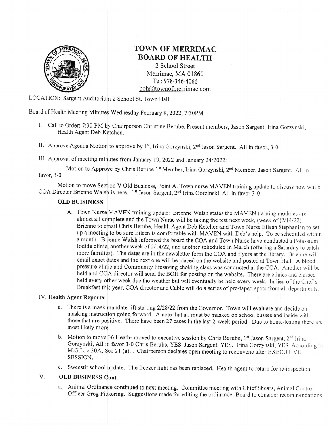

## TOWN OF MERRIMAC BOARD OF HEALTH

2 School Street Merrimac, MA 01860 Tel: 978-346-4066 boh@townofmerrimac.com

LOCATION: Sargent Auditorium 2 School St. Town Hall

Board of Health Meeting Minutes Wednesday February 9, 2022, 7:30PM

- I. Call to Order: 7:30 PM by Chairperson Christine Berube. Present members, Jason Sargent, Irina Gorzynski, Health Agent Deb Ketchen.
- II. Approve Agenda Motion to approve by 1<sup>st</sup>, Irina Gorzynski, 2<sup>nd</sup> Jason Sargent. All in favor, 3-0

III. Approval of meeting minutes from January 19, 2022 and January 24/2022:

Motion to Approve by Chris Berube 1<sup>st</sup> Member, Irina Gorzynski, 2<sup>nd</sup> Member, Jason Sargent, All in favor, 3-0

Motion to move Section V Old Business, Point A. Town nurse MAVEN training update to discuss now while COA Director Brienne Walsh is here. 1<sup>st</sup> Jason Sargent, 2<sup>nd</sup> Irina Gorzinski. All in favor 3-0

## OLD BUISINESS:

A. Town Nurse MAVEN training update: Brienne Walsh states the MAVEN training modules are almost all complete and the Town Nurse will be taking the test next week, (week of  $(2/14/22)$ ). Brienne to email Chris Berube, Health Agent Deb Ketchen and Town Nurse Eileen Stephanian to set up a meeting to be sure Eileen is comfortable with MAVEN with Deb's help. To be scheduled within a month. Brienne Walsh informed the board the COA and Town Nurse have conducted a Potassium Iodide clinic, another week of 2/14/22, and another scheduled in March (offering a Saturday to catch more families). The dates are in the newsletter form the COA and flyers at the library. Brienne will email exact dates and the next one will be placed on the website and posted at Town Hall. A blood pressure clinic and Conrmunity lifesaving choking class was conducted at the COA. Another will be held and COA director will send the BOH for posting on the website. There are clinics and classed held every other week due the weather but will eventually be held every week. In lieu of the Chef's Breakfast this year, COA director and Cable will do a series of pre-taped spots from all departments.

## IV, Health Agent Reports:

- a. There is a mask mandate lift starting 2/28/22 from the Governor. Town will evaluate and decide on masking instruction going forward. A note that all must be masked on school busses and inside with those that are positive. There have been 27 cases in the last 2-week period. Due to home-testing there are most likely more.
- b. Motion to move 36 Heath- moved to executive session by Chris Berube,  $1<sup>st</sup>$  Jason Sargent,  $2<sup>nd</sup>$  Irina Gorzynski, All in favor 3-0 Chris Berube, YES. Jason Sargent, YES, Irina Gorzynski. YES, According to M.G.L. c.30A, Sec 21 (a), . Chairperson declares open meeting to reconvene after EXECUTIVE SESSION.
- c. Sweestir school update. The freezer light has been replaced. Health agent to retum for re-inspection.

## V. OLD BUSINESS Cont,

a, Animal Ordinance continued to next meeting. Committee meeting with Chief Shears, Anirnal Control Officer Greg Pickering. Suggestions made for editing the ordinance. Board to consider recommendations